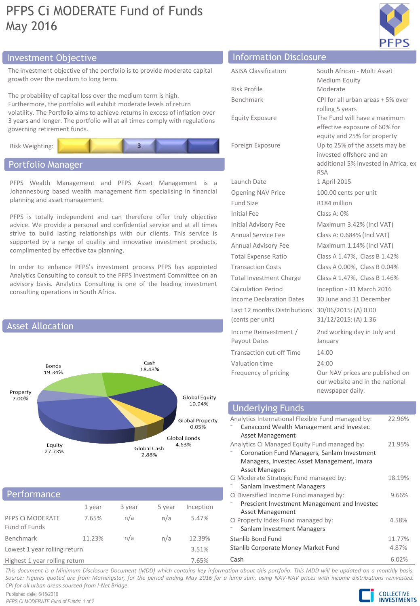# PFPS Ci MODERATE Fund of Funds May 2016



# Investment Objective Information Disclosure

The investment objective of the portfolio is to provide moderate capital growth over the medium to long term.

The probability of capital loss over the medium term is high. Furthermore, the portfolio will exhibit moderate levels of return volatility. The Portfolio aims to achieve returns in excess of inflation over 3 years and longer. The portfolio will at all times comply with regulations governing retirement funds.



# Portfolio Manager

PFPS Wealth Management and PFPS Asset Management is a Johannesburg based wealth management firm specialising in financial planning and asset management.

PFPS is totally independent and can therefore offer truly objective advice. We provide a personal and confidential service and at all times strive to build lasting relationships with our clients. This service is supported by a range of quality and innovative investment products, complimented by effective tax planning.

In order to enhance PFPS's investment process PFPS has appointed Analytics Consulting to consult to the PFPS Investment Committee on an advisory basis. Analytics Consulting is one of the leading investment consulting operations in South Africa.



# Performance

|                                   | 1 year | 3 year | 5 year | Inception |  |
|-----------------------------------|--------|--------|--------|-----------|--|
| PFPS CI MODERATE<br>Fund of Funds | 7.65%  | n/a    | n/a    | 5.47%     |  |
| Benchmark                         | 11.23% | n/a    | n/a    | 12.39%    |  |
| Lowest 1 year rolling return      |        |        |        | 3.51%     |  |
| Highest 1 year rolling return     |        |        |        | 7.65%     |  |

| <b>ASISA Classification</b>     | South African - Multi Asset                                   |
|---------------------------------|---------------------------------------------------------------|
|                                 | Medium Equity                                                 |
| Risk Profile                    | Moderate                                                      |
| Benchmark                       | CPI for all urban areas + 5% over                             |
|                                 | rolling 5 years                                               |
| <b>Equity Exposure</b>          | The Fund will have a maximum<br>effective exposure of 60% for |
|                                 | equity and 25% for property                                   |
| Foreign Exposure                | Up to 25% of the assets may be                                |
|                                 | invested offshore and an                                      |
|                                 | additional 5% invested in Africa, ex                          |
|                                 | <b>RSA</b>                                                    |
| Launch Date                     | 1 April 2015                                                  |
| Opening NAV Price               | 100.00 cents per unit                                         |
| Fund Size                       | R184 million                                                  |
| Initial Fee                     | Class A: 0%                                                   |
| <b>Initial Advisory Fee</b>     | Maximum 3.42% (Incl VAT)                                      |
| Annual Service Fee              | Class A: 0.684% (Incl VAT)                                    |
| Annual Advisory Fee             | Maximum 1.14% (Incl VAT)                                      |
| <b>Total Expense Ratio</b>      | Class A 1.47%, Class B 1.42%                                  |
| <b>Transaction Costs</b>        | Class A 0.00%, Class B 0.04%                                  |
| <b>Total Investment Charge</b>  | Class A 1.47%, Class B 1.46%                                  |
| Calculation Period              | Inception - 31 March 2016                                     |
| Income Declaration Dates        | 30 June and 31 December                                       |
| Last 12 months Distributions    | 30/06/2015: (A) 0.00                                          |
| (cents per unit)                | 31/12/2015: (A) 1.36                                          |
| Income Reinvestment /           | 2nd working day in July and                                   |
| Payout Dates                    | January                                                       |
| <b>Transaction cut-off Time</b> | 14:00                                                         |
| Valuation time                  | 24:00                                                         |
| Frequency of pricing            | Our NAV prices are published on                               |
|                                 | our website and in the national                               |
|                                 | newspaper daily.                                              |

#### Analytics International Flexible Fund managed by: ⁻ Canaccord Wealth Management and Investec Asset Management 22.96% Analytics Ci Managed Equity Fund managed by: ⁻ Coronation Fund Managers, Sanlam Investment Managers, Investec Asset Management, Imara Asset Managers 21.95% Ci Moderate Strategic Fund managed by: Sanlam Investment Managers 18.19% Ci Diversified Income Fund managed by: ⁻ Prescient Investment Management and Investec Asset Management 9.66% Ci Property Index Fund managed by: Sanlam Investment Managers 4.58% Stanlib Bond Fund 11.77% Stanlib Corporate Money Market Fund 4.87% Underlying Funds

Cash 6.02%

This document is a Minimum Disclosure Document (MDD) which contains key information about this portfolio. This MDD will be updated on a monthly basis. Source: Figures quoted are from Morningstar, for the period ending May 2016 for a lump sum, using NAV-NAV prices with income distributions reinvested. *CPI for all urban areas sourced from I-Net Bridge.*

Published date: 6/15/2016 *PFPS Ci MODERATE Fund of Funds: 1 of 2*